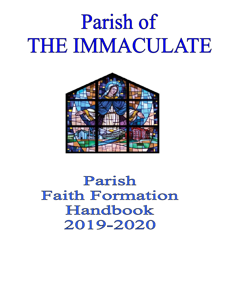# Parish of THE IMMACULATE



# Parish Faith Formation Handbook 2019-2020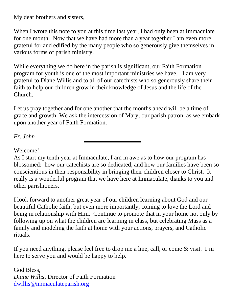My dear brothers and sisters,

When I wrote this note to you at this time last year, I had only been at Immaculate for one month. Now that we have had more than a year together I am even more grateful for and edified by the many people who so generously give themselves in various forms of parish ministry.

While everything we do here in the parish is significant, our Faith Formation program for youth is one of the most important ministries we have. I am very grateful to Diane Willis and to all of our catechists who so generously share their faith to help our children grow in their knowledge of Jesus and the life of the Church.

Let us pray together and for one another that the months ahead will be a time of grace and growth. We ask the intercession of Mary, our parish patron, as we embark upon another year of Faith Formation.

*Fr. John*

Welcome!

As I start my tenth year at Immaculate, I am in awe as to how our program has blossomed: how our catechists are so dedicated, and how our families have been so conscientious in their responsibility in bringing their children closer to Christ. It really is a wonderful program that we have here at Immaculate, thanks to you and other parishioners.

I look forward to another great year of our children learning about God and our beautiful Catholic faith, but even more importantly, coming to love the Lord and being in relationship with Him. Continue to promote that in your home not only by following up on what the children are learning in class, but celebrating Mass as a family and modeling the faith at home with your actions, prayers, and Catholic rituals.

If you need anything, please feel free to drop me a line, call, or come & visit. I'm here to serve you and would be happy to help.

God Bless, *Diane Willis*, Director of Faith Formation dwillis@immaculateparish.org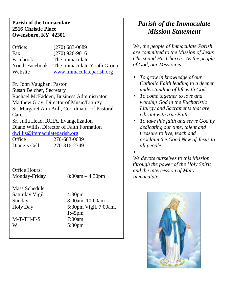#### **Parish of the Immaculate 2516 Christie Place Owensboro, KY 42301**

Office: (270) 683-0689 Fax: (270) 926-9016 Facebook: The Immaculate Youth Facebook The Immaculate Youth Group Website www.immaculateparish.org

Fr. John Vaughan, Pastor Susan Belcher, Secretary Rachael McFadden, Business Administrator Matthew Gray, Director of Music/Liturgy Sr. Margaret Ann Aull, Coordinator of Pastoral Care Sr. Julia Head, RCIA, Evangelization Diane Willis, Director of Faith Formation dwillis@immaculateparish.org Office 270-683-0689

Diane's Cell 270-316-2749

Office Hours:

Monday-Friday 8:00am – 4:30pm

Mass Schedule Saturday Vigil 4:30pm

M-T-TH-F-S 7:00am W 5:30pm

Sunday 8:00am, 10:00am Holy Day 5:30pm Vigil, 7:00am, 1:45pm

## *Parish of the Immaculate Mission Statement*

*We, the people of Immaculate Parish are committed to the Mission of Jesus Christ and His Church. As the people of God, our Mission is:*

- *To grow in knowledge of our Catholic Faith leading to a deeper understanding of life with God.*
- *To come together to love and worship God in the Eucharistic Liturgy and Sacraments that are vibrant with true Faith.*
- *To take this faith and serve God by dedicating our time, talent and treasure to live, teach and proclaim the Good New of Jesus to all people.*

 $\bullet$ 

*We devote ourselves to this Mission through the power of the Holy Spirit and the intercession of Mary Immaculate.*

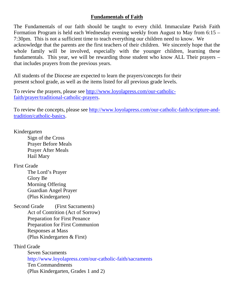#### **Fundamentals of Faith**

The Fundamentals of our faith should be taught to every child. Immaculate Parish Faith Formation Program is held each Wednesday evening weekly from August to May from 6:15 – 7:30pm. This is not a sufficient time to teach everything our children need to know. We acknowledge that the parents are the first teachers of their children. We sincerely hope that the whole family will be involved, especially with the younger children, learning these fundamentals. This year, we will be rewarding those student who know ALL Their prayers – that includes prayers from the previous years.

All students of the Diocese are expected to learn the prayers/concepts for their present school grade, as well as the items listed for all previous grade levels.

To review the prayers, please see http://www.loyolapress.com/our-catholicfaith/prayer/traditional-catholic-prayers.

To review the concepts, please see http://www.loyolapress.com/our-catholic-faith/scripture-andtradition/catholic-basics.

#### Kindergarten

Sign of the Cross Prayer Before Meals Prayer After Meals Hail Mary

#### First Grade

The Lord's Prayer Glory Be Morning Offering Guardian Angel Prayer (Plus Kindergarten)

Second Grade (First Sacraments) Act of Contrition (Act of Sorrow) Preparation for First Penance Preparation for First Communion Responses at Mass (Plus Kindergarten & First)

Third Grade

Seven Sacraments http://www.loyolapress.com/our-catholic-faith/sacraments Ten Commandments (Plus Kindergarten, Grades 1 and 2)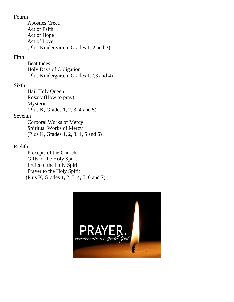#### Fourth

Apostles Creed Act of Faith Act of Hope Act of Love (Plus Kindergarten, Grades 1, 2 and 3)

#### Fifth

Beatitudes Holy Days of Obligation (Plus Kindergarten, Grades 1,2,3 and 4)

#### Sixth

Hail Holy Queen Rosary (How to pray) Mysteries (Plus K, Grades 1, 2, 3, 4 and 5) Seventh

Corporal Works of Mercy Spiritual Works of Mercy (Plus K, Grades 1, 2, 3, 4, 5 and 6)

#### Eighth

Precepts of the Church Gifts of the Holy Spirit Fruits of the Holy Spirit Prayer to the Holy Spirit (Plus K, Grades 1, 2, 3, 4, 5, 6 and 7)

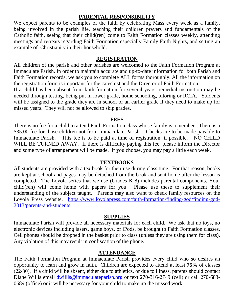#### **PARENTAL RESPONSIBILITY**

We expect parents to be examples of the faith by celebrating Mass every week as a family, being involved in the parish life, teaching their children prayers and fundamentals of the Catholic faith, seeing that their child(ren) come to Faith Formation classes weekly, attending meetings and retreats regarding Faith Formation especially Family Faith Nights, and setting an example of Christianity in their household.

#### **REGISTRATION**

All children of the parish and other parishes are welcomed to the Faith Formation Program at Immaculate Parish. In order to maintain accurate and up-to-date information for both Parish and Faith Formation records, we ask you to complete ALL forms thoroughly. All the information on the registration form is important for the catechist and the Director of Faith Formation.

If a child has been absent from faith formation for several years, remedial instruction may be needed through testing, being put in lower grade, home schooling, tutoring or RCIA. Students will be assigned to the grade they are in school or an earlier grade if they need to make up for missed years. They will not be allowed to skip grades.

#### **FEES**

There is no fee for a child to attend Faith Formation class whose family is a member. There is a \$35.00 fee for those children not from Immaculate Parish. Checks are to be made payable to Immaculate Parish. This fee is to be paid at time of registration, if possible. NO CHILD WILL BE TURNED AWAY. If there is difficulty paying this fee, please inform the Director and some type of arrangement will be made. If you choose, you may pay a little each week.

#### **TEXTBOOKS**

All students are provided with a textbook for their use during class time. For that reason, books are kept at school and pages may be detached from the book and sent home after the lesson is completed. The Loyola series that we use (Grades K-8) includes parental components. Your child(ren) will come home with papers for you. Please use these to supplement their understanding of the subject taught. Parents may also want to check family resources on the Loyola Press website. https://www.loyolapress.com/faith-formation/finding-god/finding-god- 2013/parents-and-students

#### **SUPPLIES**

Immaculate Parish will provide all necessary materials for each child. We ask that no toys, no electronic devices including lasers, game boys, or iPods, be brought to Faith Formation classes. Cell phones should be dropped in the basket prior to class (unless they are using them for class). Any violation of this may result in confiscation of the phone.

#### **ATTENDANCE**

The Faith Formation Program at Immaculate Parish provides every child who so desires an opportunity to learn and grow in faith. Children are expected to attend at least **75%** of classes (22/30). If a child will be absent, either due to athletics, or due to illness, parents should contact Diane Willis email *dwillis@immaculateparish.org* or text 270-316-2749 (cell) or call 270-683-0689 (office) or it will be necessary for your child to make up the missed work.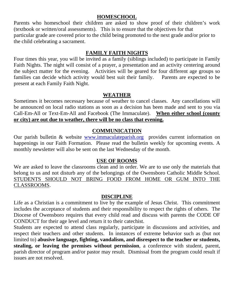#### **HOMESCHOOL**

Parents who homeschool their children are asked to show proof of their children's work (textbook or written/oral assessments). This is to ensure that the objectives for that particular grade are covered prior to the child being promoted to the next grade and/or prior to the child celebrating a sacrament.

#### **FAMILY FAITH NIGHTS**

Four times this year, you will be invited as a family (siblings included) to participate in Family Faith Nights. The night will consist of a prayer, a presentation and an activity centering around the subject matter for the evening. Activities will be geared for four different age groups so families can decide which activity would best suit their family. Parents are expected to be present at each Family Faith Night.

#### **WEATHER**

Sometimes it becomes necessary because of weather to cancel classes. Any cancellations will be announced on local radio stations as soon as a decision has been made and sent to you via Call-Em-All or Text-Em-All and Facebook (The Immaculate). **When either school (county or city) are out due to weather, there will be no class that evening.**

#### **COMMUNICATION**

Our parish bulletin & website www.immaculateparish.org provides current information on happenings in our Faith Formation. Please read the bulletin weekly for upcoming events. A monthly newsletter will also be sent on the last Wednesday of the month.

#### **USE OF ROOMS**

We are asked to leave the classrooms clean and in order. We are to use only the materials that belong to us and not disturb any of the belongings of the Owensboro Catholic Middle School. STUDENTS SHOULD NOT BRING FOOD FROM HOME OR GUM INTO THE CLASSROOMS.

#### **DISCIPLINE**

Life as a Christian is a commitment to live by the example of Jesus Christ. This commitment includes the acceptance of students and their responsibility to respect the rights of others. The Diocese of Owensboro requires that every child read and discuss with parents the CODE OF CONDUCT for their age level and return it to their catechist.

Students are expected to attend class regularly, participate in discussions and activities, and respect their teachers and other students. In instances of extreme behavior such as (but not limited to) **abusive language, fighting, vandalism, and disrespect to the teacher or students, stealing, or leaving the premises without permission**, a conference with student, parent, parish director of program and/or pastor may result. Dismissal from the program could result if issues are not resolved.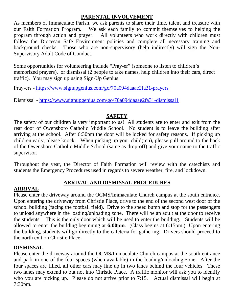#### **PARENTAL INVOLVEMENT**

As members of Immaculate Parish, we ask parents to share their time, talent and treasure with our Faith Formation Program. We ask each family to commit themselves to helping the program through action and prayer. All volunteers who work directly with children must follow the Diocesan Safe Environment policies and complete all necessary training and background checks. Those who are non-supervisory (help indirectly) will sign the Non- Supervisory Adult Code of Conduct.

Some opportunities for volunteering include "Pray-er" (someone to listen to children's memorized prayers), or dismissal (2 people to take names, help children into their cars, direct traffic). You may sign up using Sign-Up Genius.

Pray-ers - https://www.signupgenius.com/go/70a094daaae2fa31-prayers

Dismissal - https://www.signupgenius.com/go/70a094daaae2fa31-dismissal1

#### **SAFETY**

The safety of our children is very important to us! All students are to enter and exit from the rear door of Owensboro Catholic Middle School. No student is to leave the building after arriving at the school. After 6:30pm the door will be locked for safety reasons. If picking up children early, please knock. When picking up your child(ren), please pull around to the back of the Owensboro Catholic Middle School (same as drop-off) and give your name to the traffic supervisor.

Throughout the year, the Director of Faith Formation will review with the catechists and students the Emergency Procedures used in regards to severe weather, fire, and lockdown.

#### **ARRIVAL AND DISMISSAL PROCEDURES**

#### **ARRIVAL**

Please enter the driveway around the OCMS/Immaculate Church campus at the south entrance. Upon entering the driveway from Christie Place, drive to the end of the second west door of the school building (facing the football field). Drive to the speed bump and stop for the passengers to unload anywhere in the loading/unloading zone. There will be an adult at the door to receive the students. This is the only door which will be used to enter the building. Students will be allowed to enter the building beginning at **6:00pm**. (Class begins at 6:15pm.) Upon entering the building, students will go directly to the cafeteria for gathering. Drivers should proceed to the north exit on Christie Place.

#### **DISMISSAL**

Please enter the driveway around the OCMS/Immaculate Church campus at the south entrance and park in one of the four spaces (when available) in the loading/unloading zone. After the four spaces are filled, all other cars may line up in two lanes behind the four vehicles. These two lanes may extend to but not into Christie Place. A traffic monitor will ask you to identify who you are picking up. Please do not arrive prior to 7:15. Actual dismissal will begin at 7:30pm.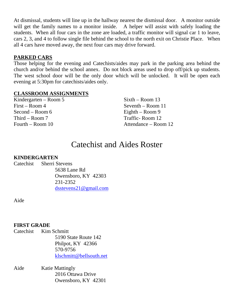At dismissal, students will line up in the hallway nearest the dismissal door. A monitor outside will get the family names to a monitor inside. A helper will assist with safely loading the students. When all four cars in the zone are loaded, a traffic monitor will signal car 1 to leave, cars 2, 3, and 4 to follow single file behind the school to the north exit on Christie Place. When all 4 cars have moved away, the next four cars may drive forward.

#### **PARKED CARS**

Those helping for the evening and Catechists/aides may park in the parking area behind the church and/or behind the school annex. Do not block areas used to drop off/pick up students. The west school door will be the only door which will be unlocked. It will be open each evening at 5:30pm for catechists/aides only.

#### **CLASSROOM ASSIGNMENTS**

Kindergarten – Room 5 First – Room 4 Second – Room 6 Third – Room 7 Fourth – Room 10

Sixth – Room 13 Seventh – Room 11 Eighth – Room 9 Traffic- Room 12 Attendance – Room 12

# Catechist and Aides Roster

#### **KINDERGARTEN**

Catechist Sherri Stevens 5638 Lane Rd Owensboro, KY 42303 231-2352

dsstevens21@gmail.com

Aide

#### **FIRST GRADE**

- Catechist Kim Schmitt 5190 State Route 142 Philpot, KY 42366 570-9756 klschmitt@bellsouth.net
- Aide Katie Mattingly 2016 Ottawa Drive Owensboro, KY 42301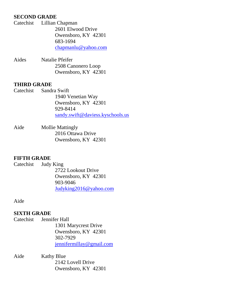#### **SECOND GRADE**

- Catechist Lillian Chapman 2601 Elwood Drive Owensboro, KY 42301 683-1694 chapmanlu@yahoo.com
- Aides Natalie Pfeifer 2508 Canonero Loop Owensboro, KY 42301

#### **THIRD GRADE**

- Catechist Sandra Swift 1940 Venetian Way Owensboro, KY 42301 929-8414 sandy.swift@daviess.kyschools.us
- Aide Mollie Mattingly 2016 Ottawa Drive Owensboro, KY 42301

#### **FIFTH GRADE**

Catechist Judy King 2722 Lookout Drive Owensboro, KY 42301 903-9046 Judyking2016@yahoo.com

Aide

#### **SIXTH GRADE**

Catechist Jennifer Hall 1301 Marycrest Drive Owensboro, KY 42301 302-7929 jennifermillay@gmail.com

Aide Kathy Blue 2142 Lovell Drive Owensboro, KY 42301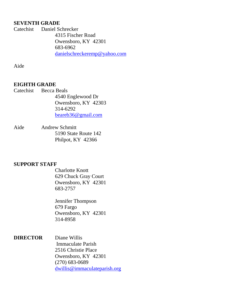#### **SEVENTH GRADE**

Catechist Daniel Schrecker 4315 Fischer Road Owensboro, KY 42301 683-6962 danielschreckeremp@yahoo.com

Aide

#### **EIGHTH GRADE**

Catechist Becca Beals 4540 Englewood Dr Owensboro, KY 42303 314-6292 beareb36@gmail.com

Aide Andrew Schmitt 5190 State Route 142 Philpot, KY 42366

#### **SUPPORT STAFF**

Charlotte Knott 629 Chuck Gray Court Owensboro, KY 42301 683-2757

Jennifer Thompson 679 Fargo Owensboro, KY 42301 314-8958

**DIRECTOR** Diane Willis

 Immaculate Parish 2516 Christie Place Owensboro, KY 42301 (270) 683-0689 dwillis@immaculateparish.org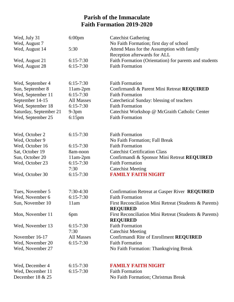#### **Parish of the Immaculate Faith Formation 2019-2020**

| Wed, July 31           | $6:00$ pm   | <b>Catechist Gathering</b>                                                |
|------------------------|-------------|---------------------------------------------------------------------------|
| Wed, August 7          |             | No Faith Formation; first day of school                                   |
| Wed, August 14         | 5:30        | Attend Mass for the Assumption with family                                |
|                        |             | Reception afterwards for ALL                                              |
| Wed, August 21         | $6:15-7:30$ | Faith Formation (Orientation) for parents and students                    |
| Wed, August 28         | $6:15-7:30$ | <b>Faith Formation</b>                                                    |
| Wed, September 4       | $6:15-7:30$ | <b>Faith Formation</b>                                                    |
| Sun, September 8       | $11am-2pm$  | Confirmandi & Parent Mini Retreat REQUIRED                                |
| Wed, September 11      | $6:15-7:30$ | <b>Faith Formation</b>                                                    |
| September 14-15        | All Masses  | Catechetical Sunday: blessing of teachers                                 |
| Wed, September 18      | $6:15-7:30$ | <b>Faith Formation</b>                                                    |
| Saturday, September 21 | $9-3pm$     | Catechist Workshop @ McGraith Catholic Center                             |
| Wed, September 25      | $6:15$ pm   | <b>Faith Formation</b>                                                    |
|                        |             |                                                                           |
| Wed, October 2         | $6:15-7:30$ | <b>Faith Formation</b>                                                    |
| Wed, October 9         |             | No Faith Formation; Fall Break                                            |
| Wed, October 16        | $6:15-7:30$ | <b>Faith Formation</b>                                                    |
| Sat, October 19        | 8am-noon    | <b>Catechist Certification Class</b>                                      |
| Sun, October 20        | $11am-2pm$  | Confirmandi & Sponsor Mini Retreat REQUIRED                               |
| Wed, October 23        | $6:15-7:30$ | <b>Faith Formation</b>                                                    |
|                        | 7:30        | <b>Catechist Meeting</b>                                                  |
| Wed, October 30        | $6:15-7:30$ | <b>FAMILY FAITH NIGHT</b>                                                 |
| Tues, November 5       | $7:30-4:30$ | Confirmation Retreat at Gasper River REQUIRED                             |
| Wed, November 6        | $6:15-7:30$ | <b>Faith Formation</b>                                                    |
| Sun, November 10       | 11am        | First Reconciliation Mini Retreat (Students & Parents)                    |
|                        |             | <b>REQUIRED</b>                                                           |
| Mon, November 11       | 6pm         | First Reconciliation Mini Retreat (Students & Parents)<br><b>REQUIRED</b> |
| Wed, November 13       | $6:15-7:30$ | <b>Faith Formation</b>                                                    |
|                        | 7:30        | <b>Catechist Meeting</b>                                                  |
| November 16-17         | All Masses  | Confirmandi Rite of Enrollment REQUIRED                                   |
| Wed, November 20       | $6:15-7:30$ | <b>Faith Formation</b>                                                    |
| Wed, November 27       |             | No Faith Formation: Thanksgiving Break                                    |
| Wed, December 4        | $6:15-7:30$ | <b>FAMILY FAITH NIGHT</b>                                                 |
| Wed, December 11       | $6:15-7:30$ | <b>Faith Formation</b>                                                    |
| December 18 & 25       |             | No Faith Formation; Christmas Break                                       |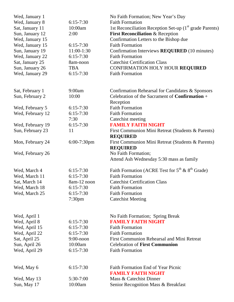| Wed, January 1   |                    | No Faith Formation; New Year's Day                                  |
|------------------|--------------------|---------------------------------------------------------------------|
| Wed, January 8   | $6:15-7:30$        | <b>Faith Formation</b>                                              |
| Sat, January 11  | 10:00am            | 1st Reconciliation Reception Set-up (1 <sup>st</sup> grade Parents) |
| Sun, January 12  | 2:00               | <b>First Reconciliation &amp; Reception</b>                         |
| Wed, January 15  |                    | Confirmation Letters to the Bishop due                              |
| Wed, January 15  | $6:15-7:30$        | <b>Faith Formation</b>                                              |
| Sun, January 19  | $11:00-1:30$       | Confirmation Interviews REQUIRED (10 minutes)                       |
| Wed, January 22  | $6:15-7:30$        | <b>Faith Formation</b>                                              |
| Sat, January 25  | 8am-noon           | <b>Catechist Certification Class</b>                                |
| Sun, January 26  | <b>TBA</b>         | CONFIRMATION HOLY HOUR REQUIRED                                     |
| Wed, January 29  | $6:15-7:30$        | <b>Faith Formation</b>                                              |
| Sat, February 1  | 9:00am             | Confirmation Rehearsal for Candidates & Sponsors                    |
| Sun, February 2  | 10:00              | Celebration of the Sacrament of <b>Confirmation</b> +               |
|                  |                    | Reception                                                           |
| Wed, February 5  | $6:15-7:30$        | <b>Faith Formation</b>                                              |
| Wed, February 12 | $6:15-7:30$        | <b>Faith Formation</b>                                              |
|                  | 7:30               | Catechist meeting                                                   |
| Wed, February 19 | $6:15-7:30$        | <b>FAMILY FAITH NIGHT</b>                                           |
| Sun, February 23 | 11                 | First Communion Mini Retreat (Students & Parents)                   |
|                  |                    | <b>REQUIRED</b>                                                     |
| Mon, February 24 | $6:00-7:30$ pm     | First Communion Mini Retreat (Students & Parents)                   |
|                  |                    | <b>REQUIRED</b>                                                     |
| Wed, February 26 |                    | No Faith Formation;                                                 |
|                  |                    | Attend Ash Wednesday 5:30 mass as family                            |
| Wed, March 4     | $6:15-7:30$        | Faith Formation (ACRE Test for $5^{th}$ & $8^{th}$ Grade)           |
| Wed, March 11    | $6:15-7:30$        | <b>Faith Formation</b>                                              |
| Sat, March 14    | 8am-12 noon        | <b>Catechist Certification Class</b>                                |
| Wed, March 18    | $6:15-7:30$        | <b>Faith Formation</b>                                              |
| Wed, March 25    | $6:15-7:30$        | <b>Faith Formation</b>                                              |
|                  | 7:30 <sub>pm</sub> | <b>Catechist Meeting</b>                                            |
| Wed, April 1     |                    | No Faith Formation; Spring Break                                    |
| Wed, April 8     | $6:15-7:30$        | <b>FAMILY FAITH NIGHT</b>                                           |
| Wed, April 15    | $6:15-7:30$        | <b>Faith Formation</b>                                              |
| Wed, April 22    | $6:15-7:30$        | <b>Faith Formation</b>                                              |
| Sat, April 25    | $9:00$ -noon       | First Communion Rehearsal and Mini Retreat                          |
| Sun, April 26    | 10:00am            | <b>Celebration of First Communion</b>                               |
| Wed, April 29    | $6:15-7:30$        | <b>Faith Formation</b>                                              |
| Wed, May 6       | $6:15-7:30$        | Faith Formation End of Year Picnic                                  |
|                  |                    | <b>FAMILY FAITH NIGHT</b>                                           |
| Wed, May 13      | 5:30-7:00          | Mass & Catechist Dinner                                             |
| Sun, May 17      | 10:00am            | Senior Recognition Mass & Breakfast                                 |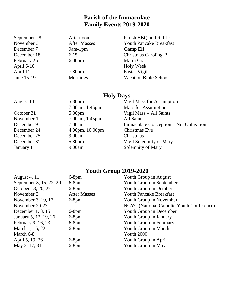#### **Parish of the Immaculate Family Events 2019-2020**

September 28 Afternoon Parish BBQ and Raffle<br>November 3 After Masses Youth Pancake Breakfa November 3 After Masses Youth Pancake Breakfast<br>December 7 9am-1pm **Camp Elf Camp Elf** December 18 6:15 Christmas Caroling ? February 25 6:00pm Mardi Gras April 6-10 Holy Week April 11 7:30pm Easter Vigil<br>
June 15-19 Mornings Vacation Bil Mornings Vacation Bible School

### **Holy Days**

| $5:30 \text{pm}$                  | Vigil Mass for Assumption              |
|-----------------------------------|----------------------------------------|
| 7:00am, 1:45pm                    | <b>Mass for Assumption</b>             |
| $5:30 \text{pm}$                  | Vigil Mass – All Saints                |
| 7:00am, 1:45pm                    | All Saints                             |
| 7:00am                            | Immaculate Conception – Not Obligation |
| $4:00 \text{pm}, 10:00 \text{pm}$ | Christmas Eve                          |
| 9:00am                            | Christmas                              |
| $5:30 \text{pm}$                  | Vigil Solemnity of Mary                |
| 9:00am                            | Solemnity of Mary                      |
|                                   |                                        |

#### **Youth Group 2019-2020**

| <b>August 4, 11</b>     | $6-8$ pm            | Youth Group in August                     |
|-------------------------|---------------------|-------------------------------------------|
| September 8, 15, 22, 29 | $6-8$ pm            | Youth Group in September                  |
| October 13, 20, 27      | $6-8$ pm            | Youth Group in October                    |
| November 3              | <b>After Masses</b> | <b>Youth Pancake Breakfast</b>            |
| November 3, 10, 17      | $6-8$ pm            | Youth Group in November                   |
| November 20-23          |                     | NCYC (National Catholic Youth Conference) |
| December 1, 8, $15$     | $6-8$ pm            | Youth Group in December                   |
| January 5, 12, 19, 26   | $6-8$ pm            | Youth Group in January                    |
| February 9, 16, 23      | $6-8$ pm            | Youth Group in February                   |
| March 1, 15, 22         | $6-8$ pm            | Youth Group in March                      |
| March 6-8               |                     | Youth 2000                                |
| April 5, 19, 26         | $6-8$ pm            | Youth Group in April                      |
| May 3, 17, 31           | $6-8$ pm            | Youth Group in May                        |
|                         |                     |                                           |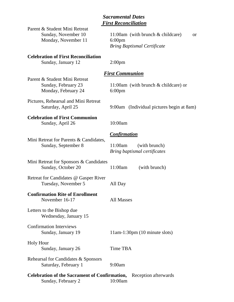#### *Sacramental Dates First Reconciliation*

| Parent & Student Mini Retreat                                                |                                                |  |  |  |  |  |
|------------------------------------------------------------------------------|------------------------------------------------|--|--|--|--|--|
| Sunday, November 10                                                          | 11:00am (with brunch & childcare)<br><b>or</b> |  |  |  |  |  |
| Monday, November 11                                                          | $6:00 \text{pm}$                               |  |  |  |  |  |
|                                                                              | <b>Bring Baptismal Certificate</b>             |  |  |  |  |  |
| <b>Celebration of First Reconciliation</b>                                   |                                                |  |  |  |  |  |
| Sunday, January 12                                                           | 2:00 <sub>pm</sub>                             |  |  |  |  |  |
|                                                                              |                                                |  |  |  |  |  |
|                                                                              | <b>First Communion</b>                         |  |  |  |  |  |
| Parent & Student Mini Retreat                                                |                                                |  |  |  |  |  |
| Sunday, February 23                                                          | 11:00am (with brunch $&$ childcare) or         |  |  |  |  |  |
| Monday, February 24                                                          | $6:00$ pm                                      |  |  |  |  |  |
| Pictures, Rehearsal and Mini Retreat                                         |                                                |  |  |  |  |  |
| Saturday, April 25                                                           | 9:00am (Individual pictures begin at 8am)      |  |  |  |  |  |
|                                                                              |                                                |  |  |  |  |  |
| <b>Celebration of First Communion</b>                                        |                                                |  |  |  |  |  |
| Sunday, April 26                                                             | 10:00am                                        |  |  |  |  |  |
|                                                                              | Confirmation                                   |  |  |  |  |  |
| Mini Retreat for Parents & Candidates,                                       |                                                |  |  |  |  |  |
| Sunday, September 8                                                          | 11:00am<br>(with brunch)                       |  |  |  |  |  |
|                                                                              | Bring baptismal certificates                   |  |  |  |  |  |
| Mini Retreat for Sponsors & Candidates                                       |                                                |  |  |  |  |  |
| Sunday, October 20                                                           | 11:00am<br>(with brunch)                       |  |  |  |  |  |
|                                                                              |                                                |  |  |  |  |  |
| Retreat for Candidates @ Gasper River                                        |                                                |  |  |  |  |  |
| Tuesday, November 5                                                          | All Day                                        |  |  |  |  |  |
| <b>Confirmation Rite of Enrollment</b>                                       |                                                |  |  |  |  |  |
| November 16-17                                                               | All Masses                                     |  |  |  |  |  |
|                                                                              |                                                |  |  |  |  |  |
| Letters to the Bishop due                                                    |                                                |  |  |  |  |  |
| Wednesday, January 15                                                        |                                                |  |  |  |  |  |
| <b>Confirmation Interviews</b>                                               |                                                |  |  |  |  |  |
| Sunday, January 19                                                           | 11am-1:30pm (10 minute slots)                  |  |  |  |  |  |
|                                                                              |                                                |  |  |  |  |  |
| <b>Holy Hour</b><br>Sunday, January 26                                       | Time TBA                                       |  |  |  |  |  |
|                                                                              |                                                |  |  |  |  |  |
| Rehearsal for Candidates & Sponsors                                          |                                                |  |  |  |  |  |
| Saturday, February 1                                                         | 9:00am                                         |  |  |  |  |  |
| <b>Celebration of the Sacrament of Confirmation,</b><br>Reception afterwards |                                                |  |  |  |  |  |
| 10:00am<br>Sunday, February 2                                                |                                                |  |  |  |  |  |
|                                                                              |                                                |  |  |  |  |  |